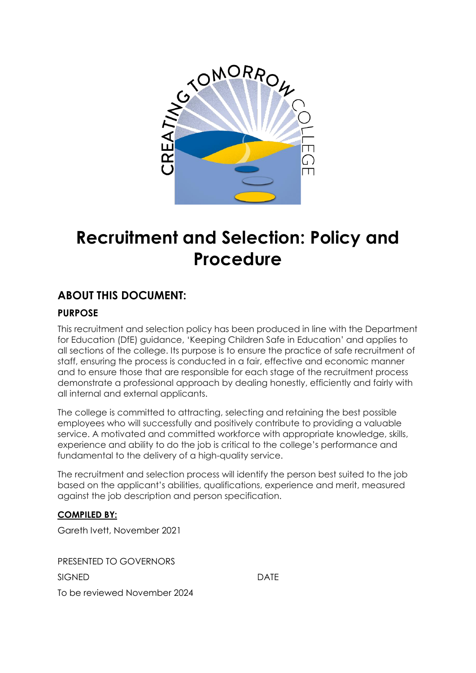

# **Recruitment and Selection: Policy and Procedure**

# **ABOUT THIS DOCUMENT:**

# **PURPOSE**

This recruitment and selection policy has been produced in line with the Department for Education (DfE) guidance, 'Keeping Children Safe in Education' and applies to all sections of the college. Its purpose is to ensure the practice of safe recruitment of staff, ensuring the process is conducted in a fair, effective and economic manner and to ensure those that are responsible for each stage of the recruitment process demonstrate a professional approach by dealing honestly, efficiently and fairly with all internal and external applicants.

The college is committed to attracting, selecting and retaining the best possible employees who will successfully and positively contribute to providing a valuable service. A motivated and committed workforce with appropriate knowledge, skills, experience and ability to do the job is critical to the college's performance and fundamental to the delivery of a high-quality service.

The recruitment and selection process will identify the person best suited to the job based on the applicant's abilities, qualifications, experience and merit, measured against the job description and person specification.

## **COMPILED BY:**

Gareth Ivett, November 2021

PRESENTED TO GOVERNORS SIGNED DATE

To be reviewed November 2024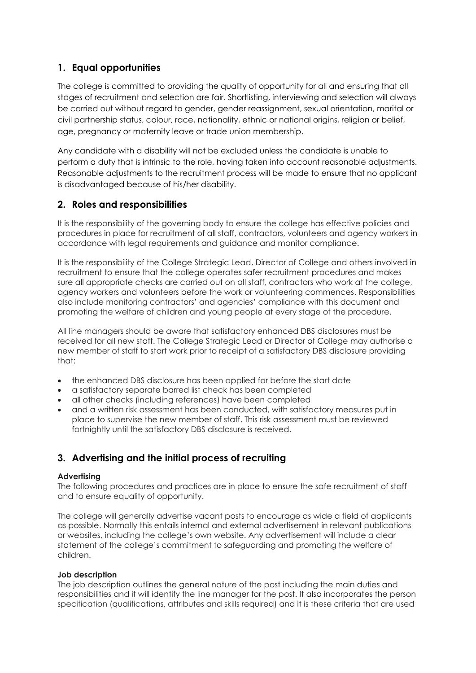## **1. Equal opportunities**

The college is committed to providing the quality of opportunity for all and ensuring that all stages of recruitment and selection are fair. Shortlisting, interviewing and selection will always be carried out without regard to gender, gender reassignment, sexual orientation, marital or civil partnership status, colour, race, nationality, ethnic or national origins, religion or belief, age, pregnancy or maternity leave or trade union membership.

Any candidate with a disability will not be excluded unless the candidate is unable to perform a duty that is intrinsic to the role, having taken into account reasonable adjustments. Reasonable adjustments to the recruitment process will be made to ensure that no applicant is disadvantaged because of his/her disability.

## **2. Roles and responsibilities**

It is the responsibility of the governing body to ensure the college has effective policies and procedures in place for recruitment of all staff, contractors, volunteers and agency workers in accordance with legal requirements and guidance and monitor compliance.

It is the responsibility of the College Strategic Lead, Director of College and others involved in recruitment to ensure that the college operates safer recruitment procedures and makes sure all appropriate checks are carried out on all staff, contractors who work at the college, agency workers and volunteers before the work or volunteering commences. Responsibilities also include monitoring contractors' and agencies' compliance with this document and promoting the welfare of children and young people at every stage of the procedure.

All line managers should be aware that satisfactory enhanced DBS disclosures must be received for all new staff. The College Strategic Lead or Director of College may authorise a new member of staff to start work prior to receipt of a satisfactory DBS disclosure providing that:

- the enhanced DBS disclosure has been applied for before the start date
- a satisfactory separate barred list check has been completed
- all other checks (including references) have been completed
- and a written risk assessment has been conducted, with satisfactory measures put in place to supervise the new member of staff. This risk assessment must be reviewed fortnightly until the satisfactory DBS disclosure is received.

## **3. Advertising and the initial process of recruiting**

#### **Advertising**

The following procedures and practices are in place to ensure the safe recruitment of staff and to ensure equality of opportunity.

The college will generally advertise vacant posts to encourage as wide a field of applicants as possible. Normally this entails internal and external advertisement in relevant publications or websites, including the college's own website. Any advertisement will include a clear statement of the college's commitment to safeguarding and promoting the welfare of children.

#### **Job description**

The job description outlines the general nature of the post including the main duties and responsibilities and it will identify the line manager for the post. It also incorporates the person specification (qualifications, attributes and skills required) and it is these criteria that are used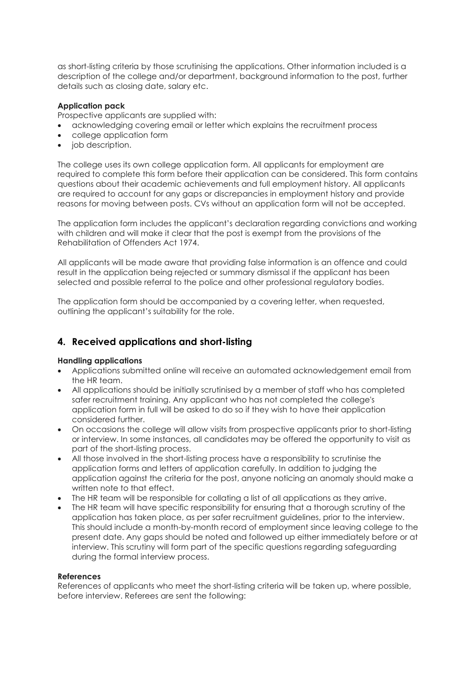as short-listing criteria by those scrutinising the applications. Other information included is a description of the college and/or department, background information to the post, further details such as closing date, salary etc.

#### **Application pack**

Prospective applicants are supplied with:

- acknowledging covering email or letter which explains the recruitment process
- college application form
- job description.

The college uses its own college application form. All applicants for employment are required to complete this form before their application can be considered. This form contains questions about their academic achievements and full employment history. All applicants are required to account for any gaps or discrepancies in employment history and provide reasons for moving between posts. CVs without an application form will not be accepted.

The application form includes the applicant's declaration regarding convictions and working with children and will make it clear that the post is exempt from the provisions of the Rehabilitation of Offenders Act 1974.

All applicants will be made aware that providing false information is an offence and could result in the application being rejected or summary dismissal if the applicant has been selected and possible referral to the police and other professional regulatory bodies.

The application form should be accompanied by a covering letter, when requested, outlining the applicant's suitability for the role.

## **4. Received applications and short-listing**

#### **Handling applications**

- Applications submitted online will receive an automated acknowledgement email from the HR team.
- All applications should be initially scrutinised by a member of staff who has completed safer recruitment training. Any applicant who has not completed the college's application form in full will be asked to do so if they wish to have their application considered further.
- On occasions the college will allow visits from prospective applicants prior to short-listing or interview. In some instances, all candidates may be offered the opportunity to visit as part of the short-listing process.
- All those involved in the short-listing process have a responsibility to scrutinise the application forms and letters of application carefully. In addition to judging the application against the criteria for the post, anyone noticing an anomaly should make a written note to that effect.
- The HR team will be responsible for collating a list of all applications as they arrive.
- The HR team will have specific responsibility for ensuring that a thorough scrutiny of the application has taken place, as per safer recruitment guidelines, prior to the interview. This should include a month-by-month record of employment since leaving college to the present date. Any gaps should be noted and followed up either immediately before or at interview. This scrutiny will form part of the specific questions regarding safeguarding during the formal interview process.

#### **References**

References of applicants who meet the short-listing criteria will be taken up, where possible, before interview. Referees are sent the following: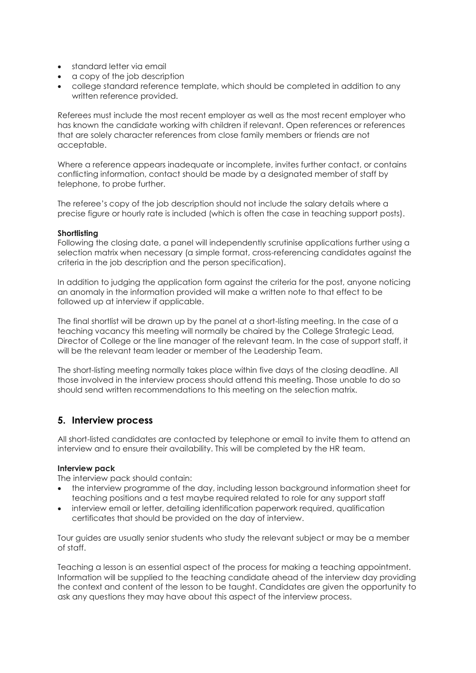- standard letter via email
- a copy of the job description
- college standard reference template, which should be completed in addition to any written reference provided.

Referees must include the most recent employer as well as the most recent employer who has known the candidate working with children if relevant. Open references or references that are solely character references from close family members or friends are not acceptable.

Where a reference appears inadequate or incomplete, invites further contact, or contains conflicting information, contact should be made by a designated member of staff by telephone, to probe further.

The referee's copy of the job description should not include the salary details where a precise figure or hourly rate is included (which is often the case in teaching support posts).

#### **Shortlisting**

Following the closing date, a panel will independently scrutinise applications further using a selection matrix when necessary (a simple format, cross-referencing candidates against the criteria in the job description and the person specification).

In addition to judging the application form against the criteria for the post, anyone noticing an anomaly in the information provided will make a written note to that effect to be followed up at interview if applicable.

The final shortlist will be drawn up by the panel at a short-listing meeting. In the case of a teaching vacancy this meeting will normally be chaired by the College Strategic Lead, Director of College or the line manager of the relevant team. In the case of support staff, it will be the relevant team leader or member of the Leadership Team.

The short-listing meeting normally takes place within five days of the closing deadline. All those involved in the interview process should attend this meeting. Those unable to do so should send written recommendations to this meeting on the selection matrix.

## **5. Interview process**

All short-listed candidates are contacted by telephone or email to invite them to attend an interview and to ensure their availability. This will be completed by the HR team.

#### **Interview pack**

The interview pack should contain:

- the interview programme of the day, including lesson background information sheet for teaching positions and a test maybe required related to role for any support staff
- interview email or letter, detailing identification paperwork required, qualification certificates that should be provided on the day of interview.

Tour guides are usually senior students who study the relevant subject or may be a member of staff.

Teaching a lesson is an essential aspect of the process for making a teaching appointment. Information will be supplied to the teaching candidate ahead of the interview day providing the context and content of the lesson to be taught. Candidates are given the opportunity to ask any questions they may have about this aspect of the interview process.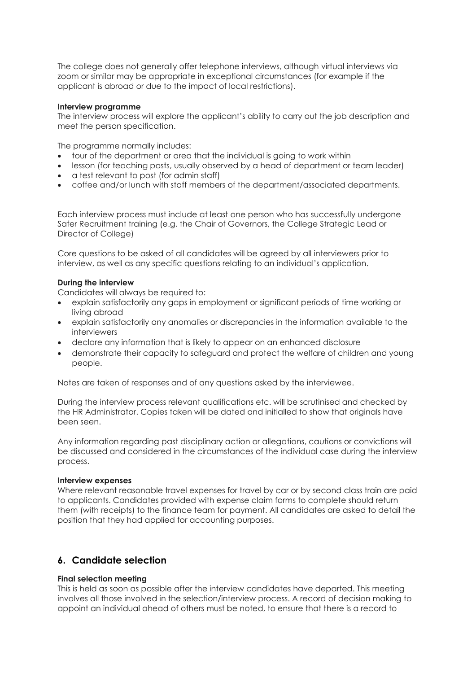The college does not generally offer telephone interviews, although virtual interviews via zoom or similar may be appropriate in exceptional circumstances (for example if the applicant is abroad or due to the impact of local restrictions).

#### **Interview programme**

The interview process will explore the applicant's ability to carry out the job description and meet the person specification.

The programme normally includes:

- tour of the department or area that the individual is going to work within
- lesson (for teaching posts, usually observed by a head of department or team leader)
- a test relevant to post (for admin staff)
- coffee and/or lunch with staff members of the department/associated departments.

Each interview process must include at least one person who has successfully undergone Safer Recruitment training (e.g. the Chair of Governors, the College Strategic Lead or Director of College)

Core questions to be asked of all candidates will be agreed by all interviewers prior to interview, as well as any specific questions relating to an individual's application.

#### **During the interview**

Candidates will always be required to:

- explain satisfactorily any gaps in employment or significant periods of time working or living abroad
- explain satisfactorily any anomalies or discrepancies in the information available to the interviewers
- declare any information that is likely to appear on an enhanced disclosure
- demonstrate their capacity to safeguard and protect the welfare of children and young people.

Notes are taken of responses and of any questions asked by the interviewee.

During the interview process relevant qualifications etc. will be scrutinised and checked by the HR Administrator. Copies taken will be dated and initialled to show that originals have been seen.

Any information regarding past disciplinary action or allegations, cautions or convictions will be discussed and considered in the circumstances of the individual case during the interview process.

#### **Interview expenses**

Where relevant reasonable travel expenses for travel by car or by second class train are paid to applicants. Candidates provided with expense claim forms to complete should return them (with receipts) to the finance team for payment. All candidates are asked to detail the position that they had applied for accounting purposes.

## **6. Candidate selection**

#### **Final selection meeting**

This is held as soon as possible after the interview candidates have departed. This meeting involves all those involved in the selection/interview process. A record of decision making to appoint an individual ahead of others must be noted, to ensure that there is a record to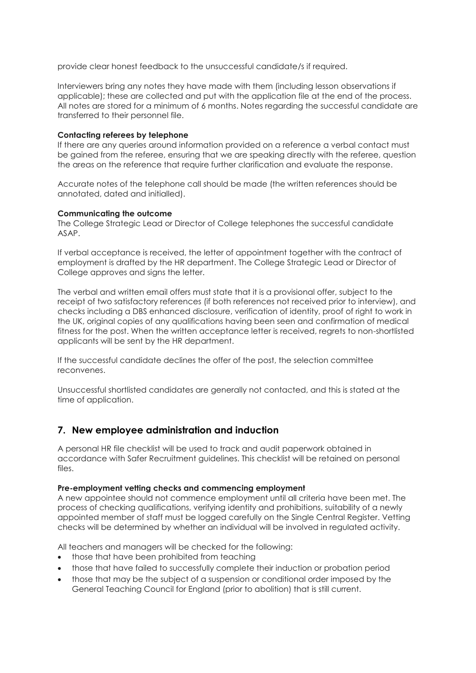provide clear honest feedback to the unsuccessful candidate/s if required.

Interviewers bring any notes they have made with them (including lesson observations if applicable); these are collected and put with the application file at the end of the process. All notes are stored for a minimum of 6 months. Notes regarding the successful candidate are transferred to their personnel file.

#### **Contacting referees by telephone**

If there are any queries around information provided on a reference a verbal contact must be gained from the referee, ensuring that we are speaking directly with the referee, question the areas on the reference that require further clarification and evaluate the response.

Accurate notes of the telephone call should be made (the written references should be annotated, dated and initialled).

#### **Communicating the outcome**

The College Strategic Lead or Director of College telephones the successful candidate ASAP.

If verbal acceptance is received, the letter of appointment together with the contract of employment is drafted by the HR department. The College Strategic Lead or Director of College approves and signs the letter.

The verbal and written email offers must state that it is a provisional offer, subject to the receipt of two satisfactory references (if both references not received prior to interview), and checks including a DBS enhanced disclosure, verification of identity, proof of right to work in the UK, original copies of any qualifications having been seen and confirmation of medical fitness for the post. When the written acceptance letter is received, regrets to non-shortlisted applicants will be sent by the HR department.

If the successful candidate declines the offer of the post, the selection committee reconvenes.

Unsuccessful shortlisted candidates are generally not contacted, and this is stated at the time of application.

## **7. New employee administration and induction**

A personal HR file checklist will be used to track and audit paperwork obtained in accordance with Safer Recruitment guidelines. This checklist will be retained on personal files.

#### **Pre-employment vetting checks and commencing employment**

A new appointee should not commence employment until all criteria have been met. The process of checking qualifications, verifying identity and prohibitions, suitability of a newly appointed member of staff must be logged carefully on the Single Central Register. Vetting checks will be determined by whether an individual will be involved in regulated activity.

All teachers and managers will be checked for the following:

- those that have been prohibited from teaching
- those that have failed to successfully complete their induction or probation period
- those that may be the subject of a suspension or conditional order imposed by the General Teaching Council for England (prior to abolition) that is still current.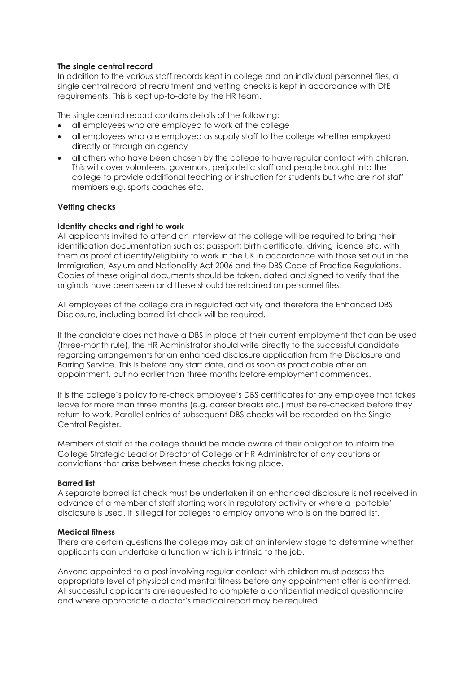#### **The single central record**

In addition to the various staff records kept in college and on individual personnel files, a single central record of recruitment and vetting checks is kept in accordance with DfE requirements. This is kept up-to-date by the HR team.

The single central record contains details of the following:

- all employees who are employed to work at the college
- all employees who are employed as supply staff to the college whether employed directly or through an agency
- all others who have been chosen by the college to have regular contact with children. This will cover volunteers, governors, peripatetic staff and people brought into the college to provide additional teaching or instruction for students but who are not staff members e.g. sports coaches etc.

#### **Vetting checks**

#### **Identity checks and right to work**

All applicants invited to attend an interview at the college will be required to bring their identification documentation such as: passport; birth certificate, driving licence etc. with them as proof of identity/eligibility to work in the UK in accordance with those set out in the Immigration, Asylum and Nationality Act 2006 and the DBS Code of Practice Regulations. Copies of these original documents should be taken, dated and signed to verify that the originals have been seen and these should be retained on personnel files.

All employees of the college are in regulated activity and therefore the Enhanced DBS Disclosure, including barred list check will be required.

If the candidate does not have a DBS in place at their current employment that can be used (three-month rule), the HR Administrator should write directly to the successful candidate regarding arrangements for an enhanced disclosure application from the Disclosure and Barring Service. This is before any start date, and as soon as practicable after an appointment, but no earlier than three months before employment commences.

It is the college's policy to re-check employee's DBS certificates for any employee that takes leave for more than three months (e.g. career breaks etc.) must be re-checked before they return to work. Parallel entries of subsequent DBS checks will be recorded on the Single Central Register.

Members of staff at the college should be made aware of their obligation to inform the College Strategic Lead or Director of College or HR Administrator of any cautions or convictions that arise between these checks taking place.

#### **Barred list**

A separate barred list check must be undertaken if an enhanced disclosure is not received in advance of a member of staff starting work in regulatory activity or where a 'portable' disclosure is used. It is illegal for colleges to employ anyone who is on the barred list.

#### **Medical fitness**

There are certain questions the college may ask at an interview stage to determine whether applicants can undertake a function which is intrinsic to the job.

Anyone appointed to a post involving regular contact with children must possess the appropriate level of physical and mental fitness before any appointment offer is confirmed. All successful applicants are requested to complete a confidential medical questionnaire and where appropriate a doctor's medical report may be required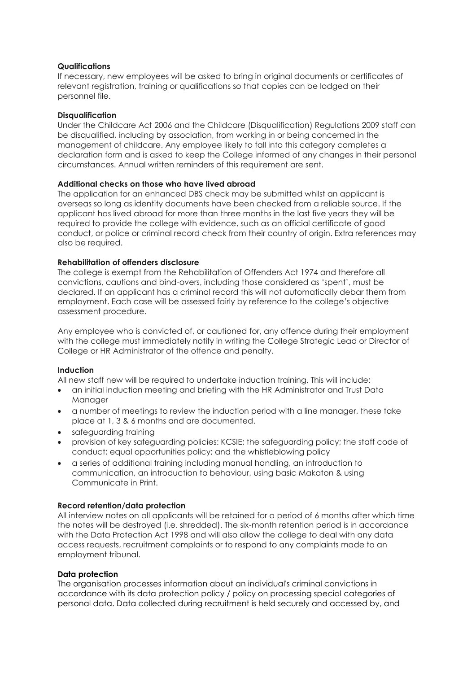#### **Qualifications**

If necessary, new employees will be asked to bring in original documents or certificates of relevant registration, training or qualifications so that copies can be lodged on their personnel file.

#### **Disqualification**

Under the Childcare Act 2006 and the Childcare (Disqualification) Regulations 2009 staff can be disqualified, including by association, from working in or being concerned in the management of childcare. Any employee likely to fall into this category completes a declaration form and is asked to keep the College informed of any changes in their personal circumstances. Annual written reminders of this requirement are sent.

#### **Additional checks on those who have lived abroad**

The application for an enhanced DBS check may be submitted whilst an applicant is overseas so long as identity documents have been checked from a reliable source. If the applicant has lived abroad for more than three months in the last five years they will be required to provide the college with evidence, such as an official certificate of good conduct, or police or criminal record check from their country of origin. Extra references may also be required.

#### **Rehabilitation of offenders disclosure**

The college is exempt from the Rehabilitation of Offenders Act 1974 and therefore all convictions, cautions and bind-overs, including those considered as 'spent', must be declared. If an applicant has a criminal record this will not automatically debar them from employment. Each case will be assessed fairly by reference to the college's objective assessment procedure.

Any employee who is convicted of, or cautioned for, any offence during their employment with the college must immediately notify in writing the College Strategic Lead or Director of College or HR Administrator of the offence and penalty.

#### **Induction**

All new staff new will be required to undertake induction training. This will include:

- an initial induction meeting and briefing with the HR Administrator and Trust Data **Manager**
- a number of meetings to review the induction period with a line manager, these take place at 1, 3 & 6 months and are documented.
- safeguarding training
- provision of key safeguarding policies: KCSIE; the safeguarding policy; the staff code of conduct; equal opportunities policy; and the whistleblowing policy
- a series of additional training including manual handling, an introduction to communication, an introduction to behaviour, using basic Makaton & using Communicate in Print.

#### **Record retention/data protection**

All interview notes on all applicants will be retained for a period of 6 months after which time the notes will be destroyed (i.e. shredded). The six-month retention period is in accordance with the Data Protection Act 1998 and will also allow the college to deal with any data access requests, recruitment complaints or to respond to any complaints made to an employment tribunal.

#### **Data protection**

The organisation processes information about an individual's criminal convictions in accordance with its [data protection policy](http://www.xperthr.co.uk/policies-and-documents/data-protection-policy-compliant-with-the-gdpr-/162690/) / policy on processing special categories of personal data. Data collected during recruitment is held securely and accessed by, and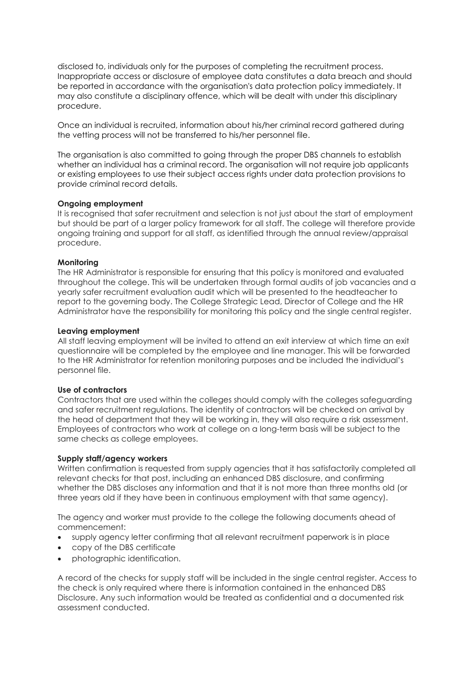disclosed to, individuals only for the purposes of completing the recruitment process. Inappropriate access or disclosure of employee data constitutes a data breach and should be reported in accordance with the organisation's data protection policy immediately. It may also constitute a disciplinary offence, which will be dealt with under this disciplinary procedure.

Once an individual is recruited, information about his/her criminal record gathered during the vetting process will not be transferred to his/her personnel file.

The organisation is also committed to going through the proper DBS channels to establish whether an individual has a criminal record. The organisation will not require job applicants or existing employees to use their subject access rights under data protection provisions to provide criminal record details.

#### **Ongoing employment**

It is recognised that safer recruitment and selection is not just about the start of employment but should be part of a larger policy framework for all staff. The college will therefore provide ongoing training and support for all staff, as identified through the annual review/appraisal procedure.

#### **Monitoring**

The HR Administrator is responsible for ensuring that this policy is monitored and evaluated throughout the college. This will be undertaken through formal audits of job vacancies and a yearly safer recruitment evaluation audit which will be presented to the headteacher to report to the governing body. The College Strategic Lead, Director of College and the HR Administrator have the responsibility for monitoring this policy and the single central register.

#### **Leaving employment**

All staff leaving employment will be invited to attend an exit interview at which time an exit questionnaire will be completed by the employee and line manager. This will be forwarded to the HR Administrator for retention monitoring purposes and be included the individual's personnel file.

#### **Use of contractors**

Contractors that are used within the colleges should comply with the colleges safeguarding and safer recruitment regulations. The identity of contractors will be checked on arrival by the head of department that they will be working in, they will also require a risk assessment. Employees of contractors who work at college on a long-term basis will be subject to the same checks as college employees.

#### **Supply staff/agency workers**

Written confirmation is requested from supply agencies that it has satisfactorily completed all relevant checks for that post, including an enhanced DBS disclosure, and confirming whether the DBS discloses any information and that it is not more than three months old (or three years old if they have been in continuous employment with that same agency).

The agency and worker must provide to the college the following documents ahead of commencement:

- supply agency letter confirming that all relevant recruitment paperwork is in place
- copy of the DBS certificate
- photographic identification.

A record of the checks for supply staff will be included in the single central register. Access to the check is only required where there is information contained in the enhanced DBS Disclosure. Any such information would be treated as confidential and a documented risk assessment conducted.